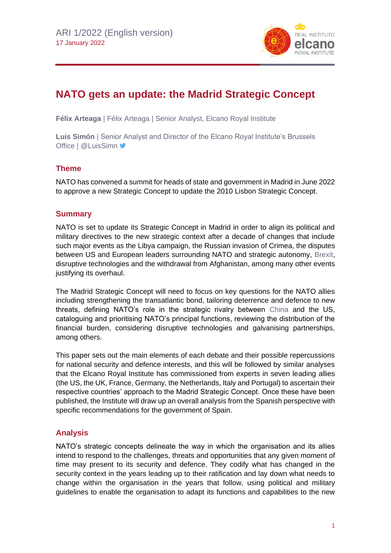

# **NATO gets an update: the Madrid Strategic Concept**

**Félix Arteaga** | Félix Arteaga | Senior Analyst, Elcano Royal Institute

**Luis Simón** | Senior Analyst and Director of the Elcano Royal Institute's Brussels Office | @LuisSimn

# **Theme**

NATO has convened a summit for heads of state and government in Madrid in June 2022 to approve a new Strategic Concept to update the 2010 Lisbon Strategic Concept.

# **Summary**

NATO is set to update its Strategic Concept in Madrid in order to align its political and military directives to the new strategic context after a decade of changes that include such major events as the Libya campaign, the Russian invasion of Crimea, the disputes between US and European leaders surrounding NATO and strategic autonomy, [Brexit,](https://especiales.realinstitutoelcano.org/brexit/) disruptive technologies and the withdrawal from Afghanistan, among many other events justifying its overhaul.

The Madrid Strategic Concept will need to focus on key questions for the NATO allies including strengthening the transatlantic bond, tailoring deterrence and defence to new threats, defining NATO's role in the strategic rivalry between [China](https://www.realinstitutoelcano.org/en/blog/tag/china-en/) and the US, cataloguing and prioritising NATO's principal functions, reviewing the distribution of the financial burden, considering disruptive technologies and galvanising partnerships, among others.

This paper sets out the main elements of each debate and their possible repercussions for national security and defence interests, and this will be followed by similar analyses that the Elcano Royal Institute has commissioned from experts in seven leading allies (the US, the UK, France, Germany, the Netherlands, Italy and Portugal) to ascertain their respective countries' approach to the Madrid Strategic Concept. Once these have been published, the Institute will draw up an overall analysis from the Spanish perspective with specific recommendations for the government of Spain.

# **Analysis**

NATO's strategic concepts delineate the way in which the organisation and its allies intend to respond to the challenges, threats and opportunities that any given moment of time may present to its security and defence. They codify what has changed in the security context in the years leading up to their ratification and lay down what needs to change within the organisation in the years that follow, using political and military guidelines to enable the organisation to adapt its functions and capabilities to the new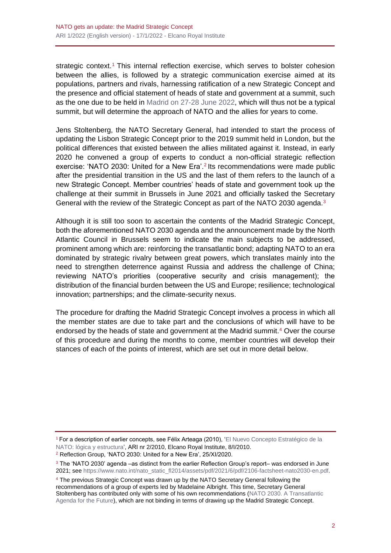strategic context.<sup>1</sup> This internal reflection exercise, which serves to bolster cohesion between the allies, is followed by a strategic communication exercise aimed at its populations, partners and rivals, harnessing ratification of a new Strategic Concept and the presence and official statement of heads of state and government at a summit, such as the one due to be held in [Madrid on 27-28 June 2022,](https://www.realinstitutoelcano.org/actividades/mesa-redonda-la-cumbre-de-madrid-y-el-futuro-de-la-otan/) which will thus not be a typical summit, but will determine the approach of NATO and the allies for years to come.

Jens Stoltenberg, the NATO Secretary General, had intended to start the process of updating the Lisbon Strategic Concept prior to the 2019 summit held in London, but the political differences that existed between the allies militated against it. Instead, in early 2020 he convened a group of experts to conduct a non-official strategic reflection exercise: 'NATO 2030: United for a New Era'.<sup>2</sup> Its recommendations were made public after the presidential transition in the US and the last of them refers to the launch of a new Strategic Concept. Member countries' heads of state and government took up the challenge at their summit in Brussels in June 2021 and officially tasked the Secretary General with the review of the Strategic Concept as part of the NATO 2030 agenda. $3$ 

Although it is still too soon to ascertain the contents of the Madrid Strategic Concept, both the aforementioned NATO 2030 agenda and the announcement made by the North Atlantic Council in Brussels seem to indicate the main subjects to be addressed, prominent among which are: reinforcing the transatlantic bond; adapting NATO to an era dominated by strategic rivalry between great powers, which translates mainly into the need to strengthen deterrence against Russia and address the challenge of China; reviewing NATO's priorities (cooperative security and crisis management); the distribution of the financial burden between the US and Europe; resilience; technological innovation; partnerships; and the climate-security nexus.

The procedure for drafting the Madrid Strategic Concept involves a process in which all the member states are due to take part and the conclusions of which will have to be endorsed by the heads of state and government at the Madrid summit.<sup>4</sup> Over the course of this procedure and during the months to come, member countries will develop their stances of each of the points of interest, which are set out in more detail below.

<sup>1</sup> For a description of earlier concepts, see Félix Arteaga (2010), ['El Nuevo Concepto Estratégico de la](https://www.realinstitutoelcano.org/analisis/el-nuevo-concepto-estrategico-de-la-otan-logica-y-estructura-ari/)  [NATO: lógica y estructura'](https://www.realinstitutoelcano.org/analisis/el-nuevo-concepto-estrategico-de-la-otan-logica-y-estructura-ari/), ARI nr 2/2010, Elcano Royal Institute, 8/I/2010.

<sup>4</sup> The previous Strategic Concept was drawn up by the NATO Secretary General following the recommendations of a group of experts led by Madelaine Albright. This time, Secretary General Stoltenberg has contributed only with some of his own recommendations [\(NATO 2030. A Transatlantic](https://www.google.com/search?q=NATO+2030.+A+Transatlantic+Agenda+for+the+Future+a+food+for+thought&sxsrf=AOaemvKDKRKwyqZRd1tK7K_QcDdsk1-xgw%3A1636361190578&ei=5uOIYZ7jIteQ8gL6goJg&oq=NATO+2030.+A+Transatlantic+Agenda+for+the+Future+a+food+for+thought&gs_lcp=Cgdnd3Mtd2l6EAM6BggAEBYQHjoFCCEQoAE6BwghEAoQoAE6BAghEApKBAhBGABQAFj9LmDmNGgCcAB4AIAB9wGIAe4VkgEGMC4yMC4xmAEAoAEBwAEB&sclient=gws-wiz&ved=0ahUKEwie7vO7sIj0AhVXiFwKHXqBAAwQ4dUDCA4&uact=5)  [Agenda for the Future\)](https://www.google.com/search?q=NATO+2030.+A+Transatlantic+Agenda+for+the+Future+a+food+for+thought&sxsrf=AOaemvKDKRKwyqZRd1tK7K_QcDdsk1-xgw%3A1636361190578&ei=5uOIYZ7jIteQ8gL6goJg&oq=NATO+2030.+A+Transatlantic+Agenda+for+the+Future+a+food+for+thought&gs_lcp=Cgdnd3Mtd2l6EAM6BggAEBYQHjoFCCEQoAE6BwghEAoQoAE6BAghEApKBAhBGABQAFj9LmDmNGgCcAB4AIAB9wGIAe4VkgEGMC4yMC4xmAEAoAEBwAEB&sclient=gws-wiz&ved=0ahUKEwie7vO7sIj0AhVXiFwKHXqBAAwQ4dUDCA4&uact=5), which are not binding in terms of drawing up the Madrid Strategic Concept.

<sup>2</sup> Reflection Group, 'NATO 2030: United for a New Era', 25/XI/2020.

<sup>3</sup> The 'NATO 2030' agenda –as distinct from the earlier Reflection Group's report– was endorsed in June 2021; see [https://www.nato.int/nato\\_static\\_fl2014/assets/pdf/2021/6/pdf/2106-factsheet-nato2030-en.pdf.](https://www.nato.int/nato_static_fl2014/assets/pdf/2021/6/pdf/2106-factsheet-nato2030-en.pdf)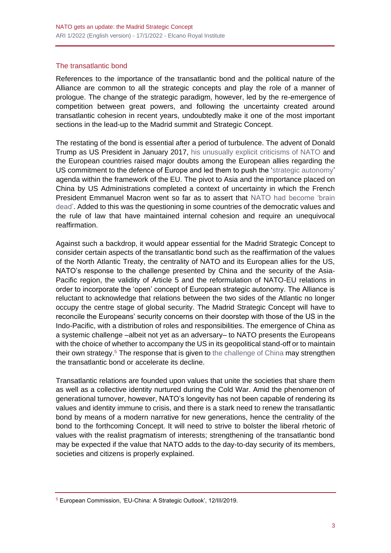#### The transatlantic bond

References to the importance of the transatlantic bond and the political nature of the Alliance are common to all the strategic concepts and play the role of a manner of prologue. The change of the strategic paradigm, however, led by the re-emergence of competition between great powers, and following the uncertainty created around transatlantic cohesion in recent years, undoubtedly make it one of the most important sections in the lead-up to the Madrid summit and Strategic Concept.

The restating of the bond is essential after a period of turbulence. The advent of Donald Trump as US President in January 2017, [his unusually explicit criticisms of NATO](https://www.realinstitutoelcano.org/en/trump-vs-nato-appearances-and-realities/) and the European countries raised major doubts among the European allies regarding the US commitment to the defence of Europe and led them to push the ['strategic autonomy'](https://www.realinstitutoelcano.org/analisis/por-que-es-importante-la-autonomia-estrategica-europea/) agenda within the framework of the EU. The pivot to Asia and the importance placed on China by US Administrations completed a context of uncertainty in which the French President Emmanuel Macron went so far as to assert that [NATO had become 'brain](https://www.realinstitutoelcano.org/comentarios/el-presidente-macron-y-la-muerte-cerebral-de-la-otan/)  [dead'.](https://www.realinstitutoelcano.org/comentarios/el-presidente-macron-y-la-muerte-cerebral-de-la-otan/) Added to this was the questioning in some countries of the democratic values and the rule of law that have maintained internal cohesion and require an unequivocal reaffirmation.

Against such a backdrop, it would appear essential for the Madrid Strategic Concept to consider certain aspects of the transatlantic bond such as the reaffirmation of the values of the North Atlantic Treaty, the centrality of NATO and its European allies for the US, NATO's response to the challenge presented by China and the security of the Asia-Pacific region, the validity of Article 5 and the reformulation of NATO-EU relations in order to incorporate the 'open' concept of European strategic autonomy. The Alliance is reluctant to acknowledge that relations between the two sides of the Atlantic no longer occupy the centre stage of global security. The Madrid Strategic Concept will have to reconcile the Europeans' security concerns on their doorstep with those of the US in the Indo-Pacific, with a distribution of roles and responsibilities. The emergence of China as a systemic challenge –albeit not yet as an adversary– to NATO presents the Europeans with the choice of whether to accompany the US in its geopolitical stand-off or to maintain their own strategy.<sup>5</sup> The response that is given to [the challenge of China](https://www.realinstitutoelcano.org/analisis/el-auge-de-china-un-tema-para-la-otan/) may strengthen the transatlantic bond or accelerate its decline.

Transatlantic relations are founded upon values that unite the societies that share them as well as a collective identity nurtured during the Cold War. Amid the phenomenon of generational turnover, however, NATO's longevity has not been capable of rendering its values and identity immune to crisis, and there is a stark need to renew the transatlantic bond by means of a modern narrative for new generations, hence the centrality of the bond to the forthcoming Concept. It will need to strive to bolster the liberal rhetoric of values with the realist pragmatism of interests; strengthening of the transatlantic bond may be expected if the value that NATO adds to the day-to-day security of its members, societies and citizens is properly explained.

<sup>5</sup> European Commission, 'EU-China: A Strategic Outlook', 12/III/2019.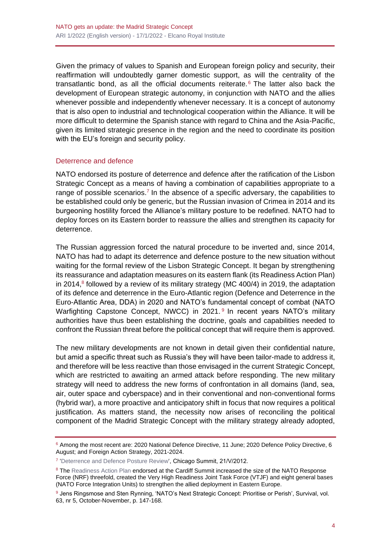Given the primacy of values to Spanish and European foreign policy and security, their reaffirmation will undoubtedly garner domestic support, as will the centrality of the transatlantic bond, as all the official documents reiterate. <sup>6</sup> The latter also back the development of European strategic autonomy, in conjunction with NATO and the allies whenever possible and independently whenever necessary. It is a concept of autonomy that is also open to industrial and technological cooperation within the Alliance. It will be more difficult to determine the Spanish stance with regard to China and the Asia-Pacific, given its limited strategic presence in the region and the need to coordinate its position with the EU's foreign and security policy.

#### Deterrence and defence

NATO endorsed its posture of deterrence and defence after the ratification of the Lisbon Strategic Concept as a means of having a combination of capabilities appropriate to a range of possible scenarios.<sup>7</sup> In the absence of a specific adversary, the capabilities to be established could only be generic, but the Russian invasion of Crimea in 2014 and its burgeoning hostility forced the Alliance's military posture to be redefined. NATO had to deploy forces on its Eastern border to reassure the allies and strengthen its capacity for deterrence.

The Russian aggression forced the natural procedure to be inverted and, since 2014, NATO has had to adapt its deterrence and defence posture to the new situation without waiting for the formal review of the Lisbon Strategic Concept. It began by strengthening its reassurance and adaptation measures on its eastern flank (its Readiness Action Plan) in 2014, $8$  followed by a review of its military strategy (MC 400/4) in 2019, the adaptation of its defence and deterrence in the Euro-Atlantic region (Defence and Deterrence in the Euro-Atlantic Area, DDA) in 2020 and NATO's fundamental concept of combat (NATO Warfighting Capstone Concept, NWCC) in 2021.<sup>9</sup> In recent years NATO's military authorities have thus been establishing the doctrine, goals and capabilities needed to confront the Russian threat before the political concept that will require them is approved.

The new military developments are not known in detail given their confidential nature, but amid a specific threat such as Russia's they will have been tailor-made to address it, and therefore will be less reactive than those envisaged in the current Strategic Concept, which are restricted to awaiting an armed attack before responding. The new military strategy will need to address the new forms of confrontation in all domains (land, sea, air, outer space and cyberspace) and in their conventional and non-conventional forms (hybrid war), a more proactive and anticipatory shift in focus that now requires a political justification. As matters stand, the necessity now arises of reconciling the political component of the Madrid Strategic Concept with the military strategy already adopted,

<sup>6</sup> Among the most recent are: 2020 National Defence Directive, 11 June; 2020 Defence Policy Directive, 6 August; and Foreign Action Strategy, 2021-2024.

<sup>&</sup>lt;sup>7</sup> ['Deterrence and Defence Posture Review',](https://www.nato.int/cps/en/natohq/official_texts_87597.htm) Chicago Summit, 21/V/2012.

<sup>&</sup>lt;sup>8</sup> The [Readiness Action Plan](https://www.nato.int/cps/en/natohq/topics_119353.htm) endorsed at the Cardiff Summit increased the size of the NATO Response Force (NRF) threefold, created the Very High Readiness Joint Task Force (VTJF) and eight general bases (NATO Force Integration Units) to strengthen the allied deployment in Eastern Europe.

<sup>9</sup> Jens Ringsmose and Sten Rynning, 'NATO's Next Strategic Concept: Prioritise or Perish', Survival, vol. 63, nr 5, October-November, p. 147-168.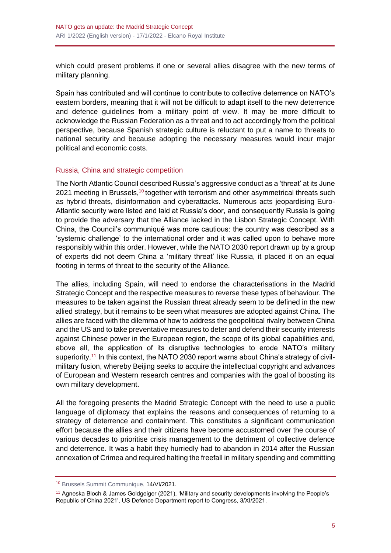which could present problems if one or several allies disagree with the new terms of military planning.

Spain has contributed and will continue to contribute to collective deterrence on NATO's eastern borders, meaning that it will not be difficult to adapt itself to the new deterrence and defence guidelines from a military point of view. It may be more difficult to acknowledge the Russian Federation as a threat and to act accordingly from the political perspective, because Spanish strategic culture is reluctant to put a name to threats to national security and because adopting the necessary measures would incur major political and economic costs.

## Russia, China and strategic competition

The North Atlantic Council described Russia's aggressive conduct as a 'threat' at its June 2021 meeting in Brussels,<sup>10</sup> together with terrorism and other asymmetrical threats such as hybrid threats, disinformation and cyberattacks. Numerous acts jeopardising Euro-Atlantic security were listed and laid at Russia's door, and consequently Russia is going to provide the adversary that the Alliance lacked in the Lisbon Strategic Concept. With China, the Council's communiqué was more cautious: the country was described as a 'systemic challenge' to the international order and it was called upon to behave more responsibly within this order. However, while the NATO 2030 report drawn up by a group of experts did not deem China a 'military threat' like Russia, it placed it on an equal footing in terms of threat to the security of the Alliance.

The allies, including Spain, will need to endorse the characterisations in the Madrid Strategic Concept and the respective measures to reverse these types of behaviour. The measures to be taken against the Russian threat already seem to be defined in the new allied strategy, but it remains to be seen what measures are adopted against China. The allies are faced with the dilemma of how to address the geopolitical rivalry between China and the US and to take preventative measures to deter and defend their security interests against Chinese power in the European region, the scope of its global capabilities and, above all, the application of its disruptive technologies to erode NATO's military superiority.<sup>11</sup> In this context, the NATO 2030 report warns about China's strategy of civilmilitary fusion, whereby Beijing seeks to acquire the intellectual copyright and advances of European and Western research centres and companies with the goal of boosting its own military development.

All the foregoing presents the Madrid Strategic Concept with the need to use a public language of diplomacy that explains the reasons and consequences of returning to a strategy of deterrence and containment. This constitutes a significant communication effort because the allies and their citizens have become accustomed over the course of various decades to prioritise crisis management to the detriment of collective defence and deterrence. It was a habit they hurriedly had to abandon in 2014 after the Russian annexation of Crimea and required halting the freefall in military spending and committing

<sup>10</sup> [Brussels Summit Communique,](https://www.nato.int/cps/en/natohq/news_185000.htm) 14/VI/2021.

<sup>11</sup> Agneska Bloch & James Goldgeiger (2021), 'Military and security developments involving the People's Republic of China 2021', US Defence Department report to Congress, 3/XI/2021.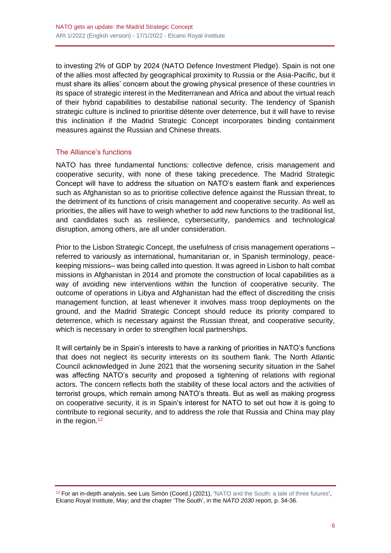to investing 2% of GDP by 2024 (NATO Defence Investment Pledge). Spain is not one of the allies most affected by geographical proximity to Russia or the Asia-Pacific, but it must share its allies' concern about the growing physical presence of these countries in its space of strategic interest in the Mediterranean and Africa and about the virtual reach of their hybrid capabilities to destabilise national security. The tendency of Spanish strategic culture is inclined to prioritise détente over deterrence, but it will have to revise this inclination if the Madrid Strategic Concept incorporates binding containment measures against the Russian and Chinese threats.

## The Alliance's functions

NATO has three fundamental functions: collective defence, crisis management and cooperative security, with none of these taking precedence. The Madrid Strategic Concept will have to address the situation on NATO's eastern flank and experiences such as Afghanistan so as to prioritise collective defence against the Russian threat, to the detriment of its functions of crisis management and cooperative security. As well as priorities, the allies will have to weigh whether to add new functions to the traditional list, and candidates such as resilience, cybersecurity, pandemics and technological disruption, among others, are all under consideration.

Prior to the Lisbon Strategic Concept, the usefulness of crisis management operations referred to variously as international, humanitarian or, in Spanish terminology, peacekeeping missions– was being called into question. It was agreed in Lisbon to halt combat missions in Afghanistan in 2014 and promote the construction of local capabilities as a way of avoiding new interventions within the function of cooperative security. The outcome of operations in Libya and Afghanistan had the effect of discrediting the crisis management function, at least whenever it involves mass troop deployments on the ground, and the Madrid Strategic Concept should reduce its priority compared to deterrence, which is necessary against the Russian threat, and cooperative security, which is necessary in order to strengthen local partnerships.

It will certainly be in Spain's interests to have a ranking of priorities in NATO's functions that does not neglect its security interests on its southern flank. The North Atlantic Council acknowledged in June 2021 that the worsening security situation in the Sahel was affecting NATO's security and proposed a tightening of relations with regional actors. The concern reflects both the stability of these local actors and the activities of terrorist groups, which remain among NATO's threats. But as well as making progress on cooperative security, it is in Spain's interest for NATO to set out how it is going to contribute to regional security, and to address the role that Russia and China may play in the region.<sup>12</sup>

<sup>&</sup>lt;sup>12</sup> For an in-depth analysis, see Luis Simón (Coord.) (2021), ['NATO and the South: a tale of three futures',](https://www.realinstitutoelcano.org/en/monographs/nato-and-the-south-a-tale-of-three-futures/) Elcano Royal Institute, May; and the chapter 'The South', in the *NATO 2030* report, p. 34-36.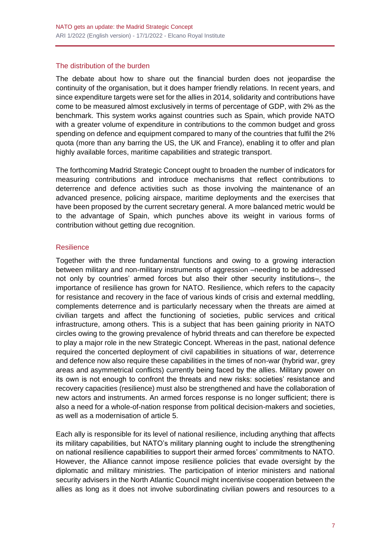#### The distribution of the burden

The debate about how to share out the financial burden does not jeopardise the continuity of the organisation, but it does hamper friendly relations. In recent years, and since expenditure targets were set for the allies in 2014, solidarity and contributions have come to be measured almost exclusively in terms of percentage of GDP, with 2% as the benchmark. This system works against countries such as Spain, which provide NATO with a greater volume of expenditure in contributions to the common budget and gross spending on defence and equipment compared to many of the countries that fulfil the 2% quota (more than any barring the US, the UK and France), enabling it to offer and plan highly available forces, maritime capabilities and strategic transport.

The forthcoming Madrid Strategic Concept ought to broaden the number of indicators for measuring contributions and introduce mechanisms that reflect contributions to deterrence and defence activities such as those involving the maintenance of an advanced presence, policing airspace, maritime deployments and the exercises that have been proposed by the current secretary general. A more balanced metric would be to the advantage of Spain, which punches above its weight in various forms of contribution without getting due recognition.

## **Resilience**

Together with the three fundamental functions and owing to a growing interaction between military and non-military instruments of aggression –needing to be addressed not only by countries' armed forces but also their other security institutions–, the importance of resilience has grown for NATO. Resilience, which refers to the capacity for resistance and recovery in the face of various kinds of crisis and external meddling, complements deterrence and is particularly necessary when the threats are aimed at civilian targets and affect the functioning of societies, public services and critical infrastructure, among others. This is a subject that has been gaining priority in NATO circles owing to the growing prevalence of hybrid threats and can therefore be expected to play a major role in the new Strategic Concept. Whereas in the past, national defence required the concerted deployment of civil capabilities in situations of war, deterrence and defence now also require these capabilities in the times of non-war (hybrid war, grey areas and asymmetrical conflicts) currently being faced by the allies. Military power on its own is not enough to confront the threats and new risks: societies' resistance and recovery capacities (resilience) must also be strengthened and have the collaboration of new actors and instruments. An armed forces response is no longer sufficient; there is also a need for a whole-of-nation response from political decision-makers and societies, as well as a modernisation of article 5.

Each ally is responsible for its level of national resilience, including anything that affects its military capabilities, but NATO's military planning ought to include the strengthening on national resilience capabilities to support their armed forces' commitments to NATO. However, the Alliance cannot impose resilience policies that evade oversight by the diplomatic and military ministries. The participation of interior ministers and national security advisers in the North Atlantic Council might incentivise cooperation between the allies as long as it does not involve subordinating civilian powers and resources to a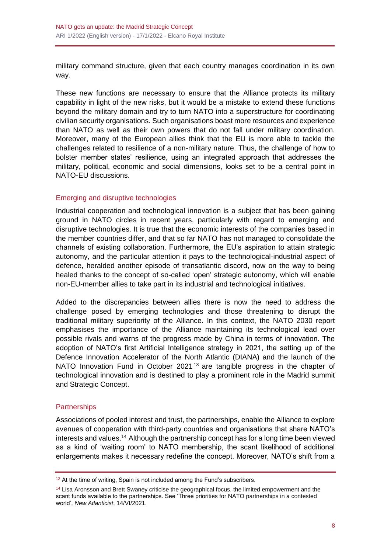military command structure, given that each country manages coordination in its own way.

These new functions are necessary to ensure that the Alliance protects its military capability in light of the new risks, but it would be a mistake to extend these functions beyond the military domain and try to turn NATO into a superstructure for coordinating civilian security organisations. Such organisations boast more resources and experience than NATO as well as their own powers that do not fall under military coordination. Moreover, many of the European allies think that the EU is more able to tackle the challenges related to resilience of a non-military nature. Thus, the challenge of how to bolster member states' resilience, using an integrated approach that addresses the military, political, economic and social dimensions, looks set to be a central point in NATO-EU discussions.

## Emerging and disruptive technologies

Industrial cooperation and technological innovation is a subject that has been gaining ground in NATO circles in recent years, particularly with regard to emerging and disruptive technologies. It is true that the economic interests of the companies based in the member countries differ, and that so far NATO has not managed to consolidate the channels of existing collaboration. Furthermore, the EU's aspiration to attain strategic autonomy, and the particular attention it pays to the technological-industrial aspect of defence, heralded another episode of transatlantic discord, now on the way to being healed thanks to the concept of so-called 'open' strategic autonomy, which will enable non-EU-member allies to take part in its industrial and technological initiatives.

Added to the discrepancies between allies there is now the need to address the challenge posed by emerging technologies and those threatening to disrupt the traditional military superiority of the Alliance. In this context, the NATO 2030 report emphasises the importance of the Alliance maintaining its technological lead over possible rivals and warns of the progress made by China in terms of innovation. The adoption of NATO's first Artificial Intelligence strategy in 2021, the setting up of the Defence Innovation Accelerator of the North Atlantic (DIANA) and the launch of the NATO Innovation Fund in October 2021<sup>13</sup> are tangible progress in the chapter of technological innovation and is destined to play a prominent role in the Madrid summit and Strategic Concept.

## **Partnerships**

Associations of pooled interest and trust, the partnerships, enable the Alliance to explore avenues of cooperation with third-party countries and organisations that share NATO's interests and values.<sup>14</sup> Although the partnership concept has for a long time been viewed as a kind of 'waiting room' to NATO membership, the scant likelihood of additional enlargements makes it necessary redefine the concept. Moreover, NATO's shift from a

<sup>&</sup>lt;sup>13</sup> At the time of writing, Spain is not included among the Fund's subscribers.

<sup>&</sup>lt;sup>14</sup> Lisa Aronsson and Brett Swaney criticise the geographical focus, the limited empowerment and the scant funds available to the partnerships. See 'Three priorities for NATO partnerships in a contested world', *New Atlanticist*, 14/VI/2021.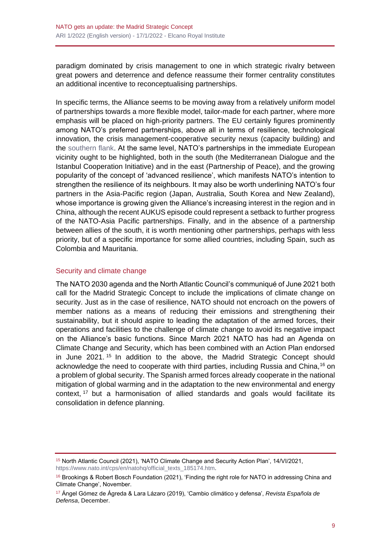paradigm dominated by crisis management to one in which strategic rivalry between great powers and deterrence and defence reassume their former centrality constitutes an additional incentive to reconceptualising partnerships.

In specific terms, the Alliance seems to be moving away from a relatively uniform model of partnerships towards a more flexible model, tailor-made for each partner, where more emphasis will be placed on high-priority partners. The EU certainly figures prominently among NATO's preferred partnerships, above all in terms of resilience, technological innovation, the crisis management-cooperative security nexus (capacity building) and the [southern flank.](https://www.realinstitutoelcano.org/en/monographs/nato-and-the-south-a-tale-of-three-futures/) At the same level, NATO's partnerships in the immediate European vicinity ought to be highlighted, both in the south (the Mediterranean Dialogue and the Istanbul Cooperation Initiative) and in the east (Partnership of Peace), and the growing popularity of the concept of 'advanced resilience', which manifests NATO's intention to strengthen the resilience of its neighbours. It may also be worth underlining NATO's four partners in the Asia-Pacific region (Japan, Australia, South Korea and New Zealand), whose importance is growing given the Alliance's increasing interest in the region and in China, although the recent AUKUS episode could represent a setback to further progress of the NATO-Asia Pacific partnerships. Finally, and in the absence of a partnership between allies of the south, it is worth mentioning other partnerships, perhaps with less priority, but of a specific importance for some allied countries, including Spain, such as Colombia and Mauritania.

## Security and climate change

The NATO 2030 agenda and the North Atlantic Council's communiqué of June 2021 both call for the Madrid Strategic Concept to include the implications of climate change on security. Just as in the case of resilience, NATO should not encroach on the powers of member nations as a means of reducing their emissions and strengthening their sustainability, but it should aspire to leading the adaptation of the armed forces, their operations and facilities to the challenge of climate change to avoid its negative impact on the Alliance's basic functions. Since March 2021 NATO has had an Agenda on Climate Change and Security, which has been combined with an Action Plan endorsed in June 2021. <sup>15</sup> In addition to the above, the Madrid Strategic Concept should acknowledge the need to cooperate with third parties, including Russia and China,<sup>16</sup> on a problem of global security. The Spanish armed forces already cooperate in the national mitigation of global warming and in the adaptation to the new environmental and energy context, <sup>17</sup> but a harmonisation of allied standards and goals would facilitate its consolidation in defence planning.

<sup>15</sup> North Atlantic Council (2021), 'NATO Climate Change and Security Action Plan', 14/VI/2021, [https://www.nato.int/cps/en/natohq/official\\_texts\\_185174.htm.](https://www.nato.int/cps/en/natohq/official_texts_185174.htm)

<sup>&</sup>lt;sup>16</sup> Brookings & Robert Bosch Foundation (2021), 'Finding the right role for NATO in addressing China and Climate Change', November.

<sup>17</sup> Ángel Gómez de Ágreda & Lara Lázaro (2019), 'Cambio climático y defensa', *Revista Española de Defensa*, December.